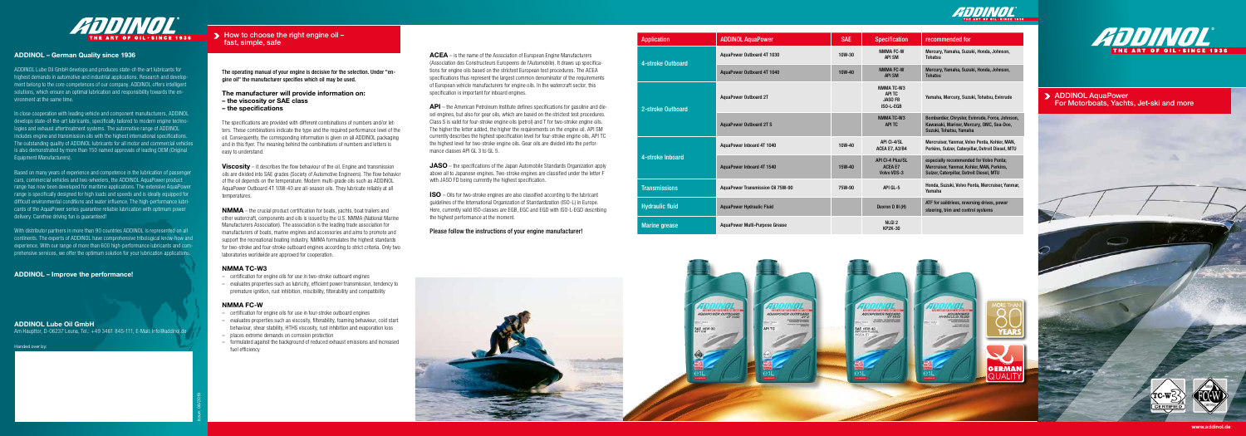> ADDINOL AquaPower For Motorboats, Yachts, Jet-ski and more



 $\blacktriangleright$  How to choose the right engine oil  $$ fast, simple, safe

**We will be a strate** 



### ADDINOL – German Quality since 1936

ADDINOL Lube Oil GmbH develops and produces state-of-the-art lubricants for highest demands in automotive and industrial applications. Research and development belong to the core competences of our company. ADDINOL offers intelligent solutions, which ensure an optimal lubrication and responsibility towards the environment at the same time.

In close cooperation with leading vehicle and component manufacturers, ADDINOL develops state-of-the-art lubricants, specifically tailored to modern engine technologies and exhaust aftertreatment systems. The automotive range of ADDINOL includes engine and transmission oils with the highest international specifications. The outstanding quality of ADDINOL lubricants for all motor and commercial vehicles is also demonstrated by more than 150 named approvals of leading OEM (Original Equipment Manufacturers).

Based on many years of experience and competence in the lubrication of passenger cars, commercial vehicles and two-wheelers, the ADDINOL AquaPower product range has now been developed for maritime applications. The extensive AquaPower range is specifically designed for high loads and speeds and is ideally equipped for difficult environmental conditions and water influence. The high-performance lubricants of the AquaPower series guarantee reliable lubrication with optimum power delivery. Carefree driving fun is guaranteed!

**Viscosity** – it describes the flow behaviour of the oil. Engine and transmission oils are divided into SAE grades (Society of Automotive Engineers). The flow behavior of the oil depends on the temperature. Modern multi-grade oils such as ADDINOL AquaPower Outboard 4T 10W-40 are all-season oils. They lubricate reliably at all temperatures.

With distributor partners in more than 90 countries ADDINOL is represented on all continents. The experts of ADDINOL have comprehensive tribological know-how and experience. With our range of more than 600 high-performance lubricants and comprehensive services, we offer the optimum solution for your lubrication applications.

ADDINOL – Improve the performance!

Handed over by:

### ADDINOL Lube Oil GmbH

Am Haupttor, D-06237 Leuna, Tel.: +49 3461 845-111, E-Mail: info@addinol.de

The operating manual of your engine is decisive for the selection. Under "engine oil" the manufacturer specifies which oil may be used.

### The manufacturer will provide information on:

- the viscosity or SAE class
- the specifications

ACEA – is the name of the Association of European Engine Manufacturers (Association des Constructeurs Europeens de l'Automobile). It draws up specifications for engine oils based on the strictest European test procedures. The ACEA specifications thus represent the largest common denominator of the requirements of European vehicle manufacturers for engine oils. In the watercraft sector, this specification is important for inboard engines.

The specifications are provided with different combinations of numbers and/or letters. These combinations indicate the type and the required performance level of the oil. Consequently, the corresponding information is given on all ADDINOL packaging and in this flyer. The meaning behind the combinations of numbers and letters is easy to understand.

> JASO – the specifications of the Japan Automobile Standards Organization apply above all to Japanese engines. Two-stroke engines are classified under the letter F with JASO FD being currently the highest specification.

NMMA – the crucial product certification for boats, yachts, boat trailers and other watercraft, components and oils is issued by the U.S. NMMA (National Marine Manufacturers Association). The association is the leading trade association for manufacturers of boats, marine engines and accessories and aims to promote and support the recreational boating industry. NMMA formulates the highest standards for two-stroke and four-stroke outboard engines according to strict criteria. Only two laboratories worldwide are approved for cooperation.

### NMMA TC-W3

- certification for engine oils for use in two-stroke outboard engines
- evaluates properties such as lubricity, efficient power transmission, tendency to premature ignition, rust inhibition, miscibility, filterability and compatibility

### NMMA FC-W

- certification for engine oils for use in four-stroke outboard engines
- evaluates properties such as viscosity, filterability, foaming behaviour, cold start behaviour, shear stability, HTHS viscosity, rust inhibition and evaporation loss
- places extreme demands on corrosion protection
- formulated against the background of reduced exhaust emissions and increased fuel efficiency

Issue: 06/2019

API – the American Petroleum Institute defines specifications for gasoline and diesel engines, but also for gear oils, which are based on the strictest test procedures. Class S is valid for four-stroke engine oils (petrol) and T for two-stroke engine oils. The higher the letter added, the higher the requirements on the engine oil. API SM currently describes the highest specification level for four-stroke engine oils, API TC the highest level for two-stroke engine oils. Gear oils are divided into the performance classes API GL 3 to GL 5.

ISO – Oils for two-stroke engines are also classified according to the lubricant guidelines of the International Organization of Standardization (ISO-L) in Europe. Here, currently valid ISO-classes are EGB, EGC and EGD with ISO-L-EGD describing the highest performance at the moment.

Please follow the instructions of your engine manufacturer!





| <b>Application</b>     | <b>ADDINOL AquaPower</b>              | <b>SAE</b> | <b>Specification</b>                                            | recommended for                                                                                                                  |
|------------------------|---------------------------------------|------------|-----------------------------------------------------------------|----------------------------------------------------------------------------------------------------------------------------------|
| 4-stroke Outboard      | AquaPower Outboard 4T 1030            | 10W-30     | <b>NMMA FC-W</b><br><b>API SM</b>                               | Mercury, Yamaha, Suzuki, Honda, Johnson,<br><b>Tohatsu</b>                                                                       |
|                        | AquaPower Outboard 4T 1040            | 10W-40     | <b>NMMA FC-W</b><br><b>API SM</b>                               | Mercury, Yamaha, Suzuki, Honda, Johnson,<br><b>Tohatsu</b>                                                                       |
| 2-stroke Outboard      | <b>AguaPower Outboard 2T</b>          |            | <b>NMMATC-W3</b><br><b>APITC</b><br><b>JASO FB</b><br>ISO-L-EGB | Yamaha, Mercury, Suzuki, Tohatsu, Evinrude                                                                                       |
|                        | <b>AguaPower Outboard 2T S</b>        |            | <b>NMMATC-W3</b><br><b>APITC</b>                                | Bombardier, Chrysler, Evinrude, Force, Johnson,<br>Kawasaki, Mariner, Mercury, OMC, Sea-Doo,<br>Suzuki, Tohatsu, Yamaha          |
| 4-stroke Inboard       | AquaPower Inboard 4T 1040             | 10W-40     | API CI-4/SL<br>ACEA E7, A3/B4                                   | Mercruiser, Yanmar, Volvo Penta, Kohler, MAN,<br>Perkins, Sulzer, Caterpillar, Detroit Diesel, MTU                               |
|                        | AquaPower Inboard 4T 1540             | 15W-40     | <b>API CI-4 Plus/SL</b><br><b>ACEA E7</b><br><b>Volvo VDS-3</b> | especially recommended for Volvo Penta;<br>Mercruiser, Yanmar, Kohler, MAN, Perkins,<br>Sulzer, Caterpillar, Detroit Diesel, MTU |
| <b>Transmissions</b>   | AquaPower Transmission Oil 75W-90     | 75W-90     | API GL-5                                                        | Honda, Suzuki, Volvo Penta, Mercruiser, Yanmar,<br>Yamaha                                                                        |
| <b>Hydraulic fluid</b> | <b>AquaPower Hydraulic Fluid</b>      |            | Dexron D III (H)                                                | ATF for saildrives, reversing drives, power<br>steering, trim and control systems                                                |
| <b>Marine</b> grease   | <b>AquaPower Multi-Purpose Grease</b> |            | NLGI <sub>2</sub><br><b>KP2K-30</b>                             |                                                                                                                                  |